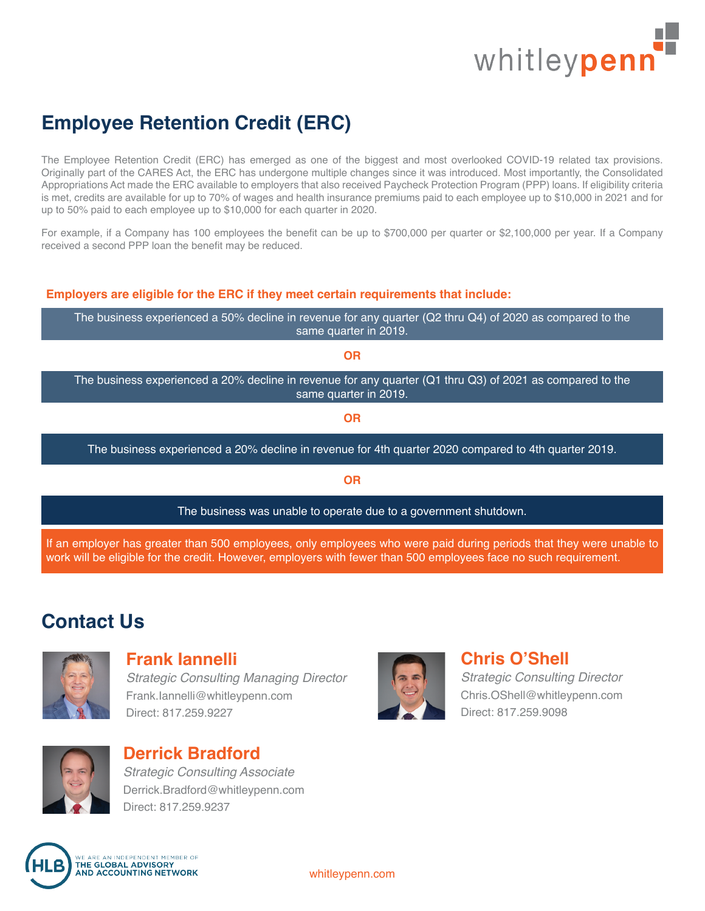

# **Employee Retention Credit (ERC)**

The Employee Retention Credit (ERC) has emerged as one of the biggest and most overlooked COVID-19 related tax provisions. Originally part of the CARES Act, the ERC has undergone multiple changes since it was introduced. Most importantly, the Consolidated Appropriations Act made the ERC available to employers that also received Paycheck Protection Program (PPP) loans. If eligibility criteria is met, credits are available for up to 70% of wages and health insurance premiums paid to each employee up to \$10,000 in 2021 and for up to 50% paid to each employee up to \$10,000 for each quarter in 2020.

For example, if a Company has 100 employees the benefit can be up to \$700,000 per quarter or \$2,100,000 per year. If a Company received a second PPP loan the benefit may be reduced.

#### **Employers are eligible for the ERC if they meet certain requirements that include:**

The business experienced a 50% decline in revenue for any quarter (Q2 thru Q4) of 2020 as compared to the same quarter in 2019.

**OR**

The business experienced a 20% decline in revenue for any quarter (Q1 thru Q3) of 2021 as compared to the same quarter in 2019.

**OR**

The business experienced a 20% decline in revenue for 4th quarter 2020 compared to 4th quarter 2019.

**OR**

The business was unable to operate due to a government shutdown.

If an employer has greater than 500 employees, only employees who were paid during periods that they were unable to work will be eligible for the credit. However, employers with fewer than 500 employees face no such requirement.

## **Contact Us**



#### **Frank Iannelli**

*Strategic Consulting Managing Director* Frank.Iannelli@whitleypenn.com Direct: 817.259.9227



### **Derrick Bradford** *Strategic Consulting Associate*

Derrick.Bradford@whitleypenn.com Direct: 817.259.9237



### **Chris O'Shell**

*Strategic Consulting Director* Chris.OShell@whitleypenn.com Direct: 817.259.9098

WE ARE AN INDEPENDENT MEMBER OF<br>THE GLOBAL ADVISORY<br>AND ACCOUNTING NETWORK